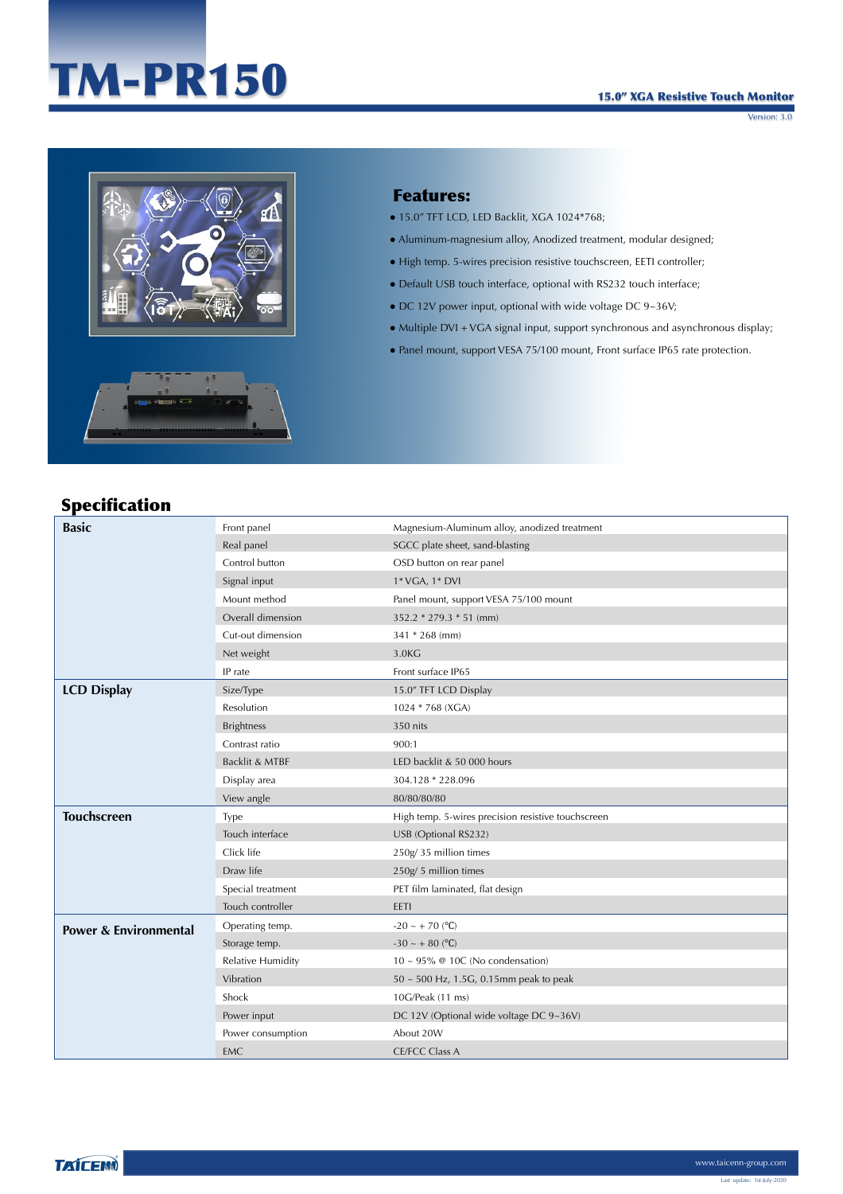# TM-PR150

Version: 3.0



#### Features:

- $\bullet$  15.0" TFT LCD, LED Backlit, XGA 1024\*768;
- Aluminum-magnesium alloy, Anodized treatment, modular designed;
- High temp. 5-wires precision resistive touchscreen, EETI controller;
- Default USB touch interface, optional with RS232 touch interface;
- $\bullet$  DC 12V power input, optional with wide voltage DC 9~36V;
- Multiple DVI + VGA signal input, support synchronous and asynchronous display;
- Panel mount, support VESA 75/100 mount, Front surface IP65 rate protection.

## Specification

| <b>Basic</b>                     | Front panel              | Magnesium-Aluminum alloy, anodized treatment       |  |
|----------------------------------|--------------------------|----------------------------------------------------|--|
|                                  | Real panel               | SGCC plate sheet, sand-blasting                    |  |
|                                  | Control button           | OSD button on rear panel                           |  |
|                                  | Signal input             | 1* VGA, 1* DVI                                     |  |
|                                  | Mount method             | Panel mount, support VESA 75/100 mount             |  |
|                                  | Overall dimension        | $352.2 * 279.3 * 51$ (mm)                          |  |
|                                  | Cut-out dimension        | 341 * 268 (mm)                                     |  |
|                                  | Net weight               | 3.0KG                                              |  |
|                                  | IP rate                  | Front surface IP65                                 |  |
| <b>LCD Display</b>               | Size/Type                | 15.0" TFT LCD Display                              |  |
|                                  | Resolution               | 1024 * 768 (XGA)                                   |  |
|                                  | <b>Brightness</b>        | 350 nits                                           |  |
|                                  | Contrast ratio           | 900:1                                              |  |
|                                  | Backlit & MTBF           | LED backlit & 50 000 hours                         |  |
|                                  | Display area             | 304.128 * 228.096                                  |  |
|                                  | View angle               | 80/80/80/80                                        |  |
| <b>Touchscreen</b>               | Type                     | High temp. 5-wires precision resistive touchscreen |  |
|                                  | Touch interface          | USB (Optional RS232)                               |  |
|                                  | Click life               | 250g/35 million times                              |  |
|                                  | Draw life                | 250g/5 million times                               |  |
|                                  | Special treatment        | PET film laminated, flat design                    |  |
|                                  | Touch controller         | EETI                                               |  |
| <b>Power &amp; Environmental</b> | Operating temp.          | $-20 \sim +70$ (°C)                                |  |
|                                  | Storage temp.            | $-30 \sim +80$ (°C)                                |  |
|                                  | <b>Relative Humidity</b> | $10 \sim 95\%$ @ 10C (No condensation)             |  |
|                                  | Vibration                | $50 \sim 500$ Hz, 1.5G, 0.15mm peak to peak        |  |
|                                  | Shock                    | 10G/Peak (11 ms)                                   |  |
|                                  | Power input              | DC 12V (Optional wide voltage DC 9~36V)            |  |
|                                  | Power consumption        | About 20W                                          |  |
|                                  | EMC                      | <b>CE/FCC Class A</b>                              |  |